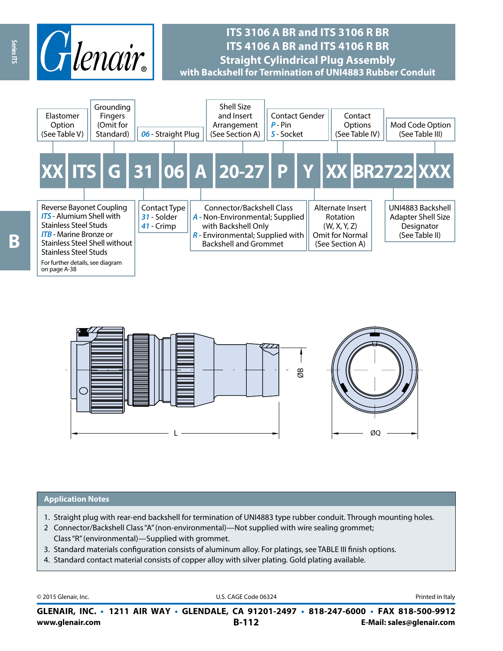

# **ITS 3106 A BR and ITS 3106 R BR ITS 4106 A BR and ITS 4106 R BR Straight Cylindrical Plug Assembly with Backshell for Termination of UNI4883 Rubber Conduit**





### **Application Notes**

- 1. Straight plug with rear-end backshell for termination of UNI4883 type rubber conduit. Through mounting holes.
- 2 Connector/Backshell Class "A" (non-environmental)—Not supplied with wire sealing grommet; Class "R" (environmental)—Supplied with grommet.
- 3. Standard materials configuration consists of aluminum alloy. For platings, see TABLE III finish options.
- 4. Standard contact material consists of copper alloy with silver plating. Gold plating available.

© 2015 Glenair, Inc. **Discription Construction Construction Construction Construction Construction Construction Construction Construction Construction Construction Construction Construction Construction Construction Constr** 

**www.glenair.com B-112 E-Mail: sales@glenair.com GLENAIR, INC. • 1211 AIR WAY • GLENDALE, CA 91201-2497 • 818-247-6000 • FAX 818-500-9912**

Series ITS